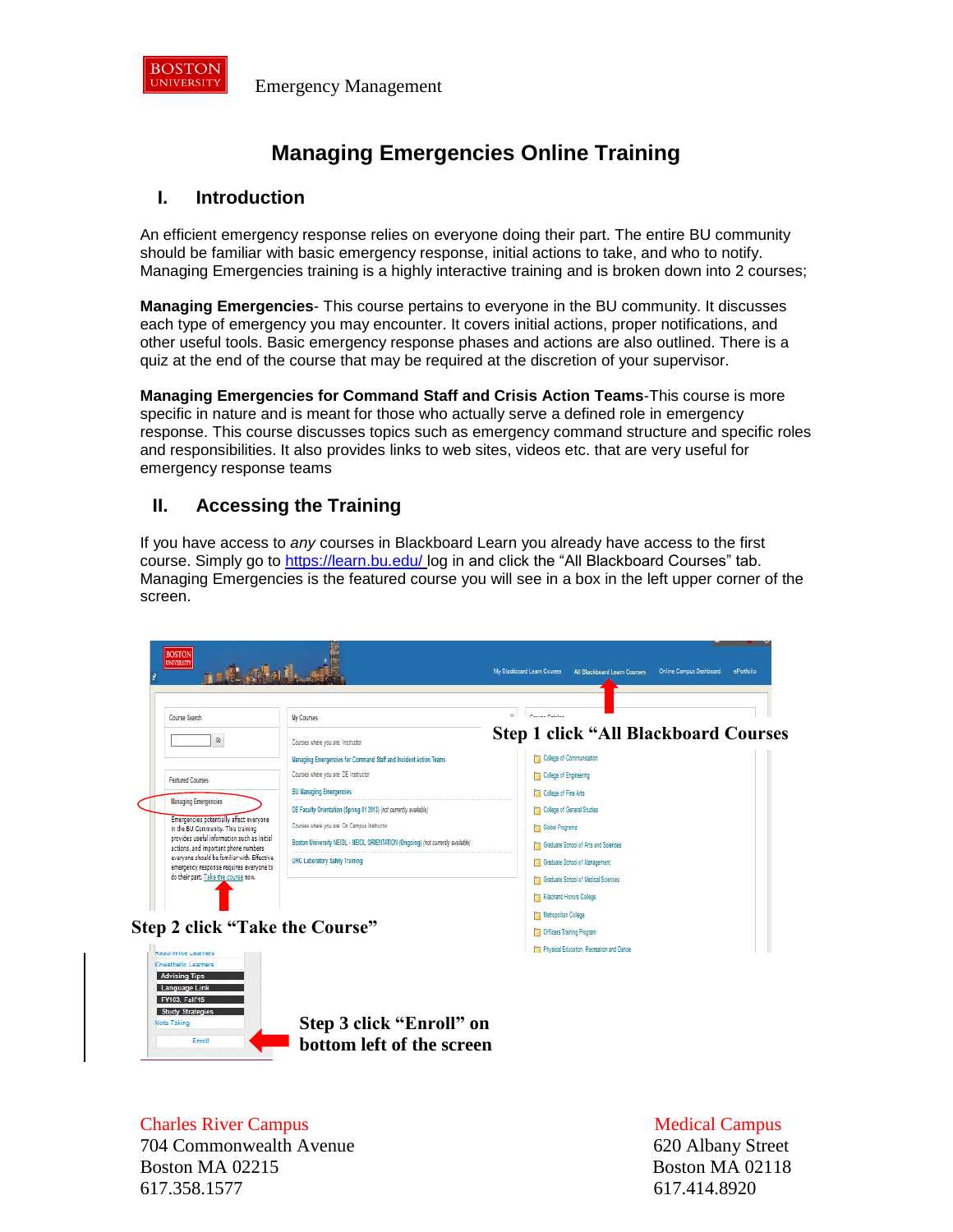

# **Managing Emergencies Online Training**

### **I. Introduction**

An efficient emergency response relies on everyone doing their part. The entire BU community should be familiar with basic emergency response, initial actions to take, and who to notify. Managing Emergencies training is a highly interactive training and is broken down into 2 courses;

**Managing Emergencies**- This course pertains to everyone in the BU community. It discusses each type of emergency you may encounter. It covers initial actions, proper notifications, and other useful tools. Basic emergency response phases and actions are also outlined. There is a quiz at the end of the course that may be required at the discretion of your supervisor.

**Managing Emergencies for Command Staff and Crisis Action Teams**-This course is more specific in nature and is meant for those who actually serve a defined role in emergency response. This course discusses topics such as emergency command structure and specific roles and responsibilities. It also provides links to web sites, videos etc. that are very useful for emergency response teams

# **II. Accessing the Training**

If you have access to *any* courses in Blackboard Learn you already have access to the first course. Simply go to<https://learn.bu.edu/> log in and click the "All Blackboard Courses" tab. Managing Emergencies is the featured course you will see in a box in the left upper corner of the screen.



**Charles River Campus** Charles River Campus **Medical Campus** Medical Campus **Medical Campus** 704 Commonwealth Avenue 620 Albany Street Boston MA 02215 Boston MA 02118 617.358.1577 617.414.8920